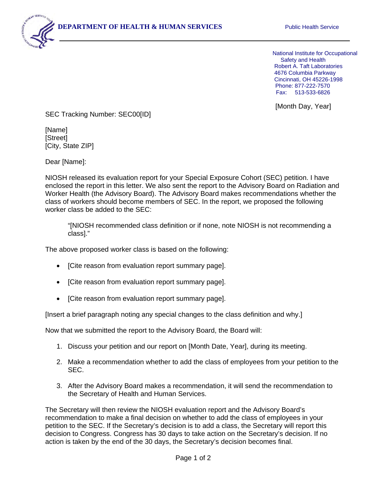

 Fax: 513-533-6826 National Institute for Occupational Safety and Health Robert A. Taft Laboratories 4676 Columbia Parkway Cincinnati, OH 45226-1998 Phone: 877-222-7570

[Month Day, Year]

SEC Tracking Number: SEC00[ID]

[Name] [Street] [City, State ZIP]

Dear [Name]:

NIOSH released its evaluation report for your Special Exposure Cohort (SEC) petition. I have enclosed the report in this letter. We also sent the report to the Advisory Board on Radiation and Worker Health (the Advisory Board). The Advisory Board makes recommendations whether the class of workers should become members of SEC. In the report, we proposed the following worker class be added to the SEC:

"[NIOSH recommended class definition or if none, note NIOSH is not recommending a class]."

The above proposed worker class is based on the following:

- [Cite reason from evaluation report summary page].
- [Cite reason from evaluation report summary page].
- [Cite reason from evaluation report summary page].

[Insert a brief paragraph noting any special changes to the class definition and why.]

Now that we submitted the report to the Advisory Board, the Board will:

- 1. Discuss your petition and our report on [Month Date, Year], during its meeting.
- 2. Make a recommendation whether to add the class of employees from your petition to the SEC.
- 3. After the Advisory Board makes a recommendation, it will send the recommendation to the Secretary of Health and Human Services.

The Secretary will then review the NIOSH evaluation report and the Advisory Board's recommendation to make a final decision on whether to add the class of employees in your petition to the SEC. If the Secretary's decision is to add a class, the Secretary will report this decision to Congress. Congress has 30 days to take action on the Secretary's decision. If no action is taken by the end of the 30 days, the Secretary's decision becomes final.